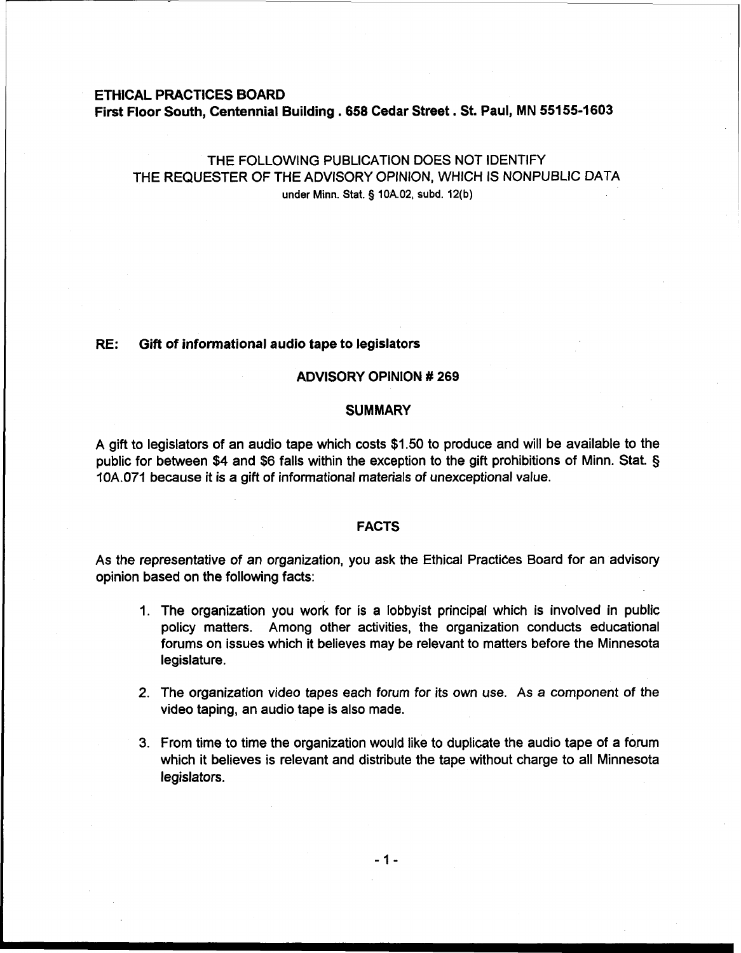# **ETHICAL PRACTICES BOARD First Floor South, Centennial Building** . **658 Cedar Street. St. Paul, MN 55155-1603**

# THE FOLLOWING PUBLICATION DOES NOT IDENTIFY THE REQUESTER OF THE ADVISORY OPINION, WHICH IS NONPUBLIC DATA under Minn. Stat. § **10A.02, subd. 12(b)**

### **RE: Gift of informational audio** tape **to** legislators

### **ADVISORY OPINION** # **269**

#### **SUMMARY**

A gift to legislators of an audio tape which costs \$1.50 to produce and will be available to the public for between \$4 and \$6 falls within the exception to the gift prohibitions of Minn. Stat. § lOA.071 because it is a gift of informational materials of unexceptional value.

### **FACTS**

As the representative of an organization, you ask the Ethical Practices Board for an advisory opinion based on the following facts:

- 1. The organization you work for is a lobbyist principal which is involved in public policy matters. Among other activities, the organization conducts educational forums on issues which it believes may be relevant to matters before the Minnesota legislature.
- 2. The organization video tapes each forum for its own use. As a component of the video taping, an audio tape is also made.
- 3. From time to time the organization would like to duplicate the audio tape of a forum which it believes is relevant and distribute the tape without charge to all Minnesota legislators.

 $-1-$